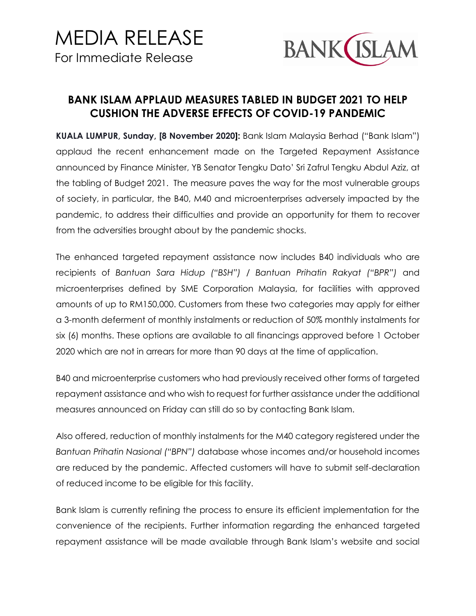

## **BANK ISLAM APPLAUD MEASURES TABLED IN BUDGET 2021 TO HELP CUSHION THE ADVERSE EFFECTS OF COVID-19 PANDEMIC**

**KUALA LUMPUR, Sunday, [8 November 2020]:** Bank Islam Malaysia Berhad ("Bank Islam") applaud the recent enhancement made on the Targeted Repayment Assistance announced by Finance Minister, YB Senator Tengku Dato' Sri Zafrul Tengku Abdul Aziz, at the tabling of Budget 2021. The measure paves the way for the most vulnerable groups of society, in particular, the B40, M40 and microenterprises adversely impacted by the pandemic, to address their difficulties and provide an opportunity for them to recover from the adversities brought about by the pandemic shocks.

The enhanced targeted repayment assistance now includes B40 individuals who are recipients of *Bantuan Sara Hidup ("BSH") / Bantuan Prihatin Rakyat ("BPR")* and microenterprises defined by SME Corporation Malaysia, for facilities with approved amounts of up to RM150,000. Customers from these two categories may apply for either a 3-month deferment of monthly instalments or reduction of 50% monthly instalments for six (6) months. These options are available to all financings approved before 1 October 2020 which are not in arrears for more than 90 days at the time of application.

B40 and microenterprise customers who had previously received other forms of targeted repayment assistance and who wish to request for further assistance under the additional measures announced on Friday can still do so by contacting Bank Islam.

Also offered, reduction of monthly instalments for the M40 category registered under the *Bantuan Prihatin Nasional ("BPN")* database whose incomes and/or household incomes are reduced by the pandemic. Affected customers will have to submit self-declaration of reduced income to be eligible for this facility.

Bank Islam is currently refining the process to ensure its efficient implementation for the convenience of the recipients. Further information regarding the enhanced targeted repayment assistance will be made available through Bank Islam's website and social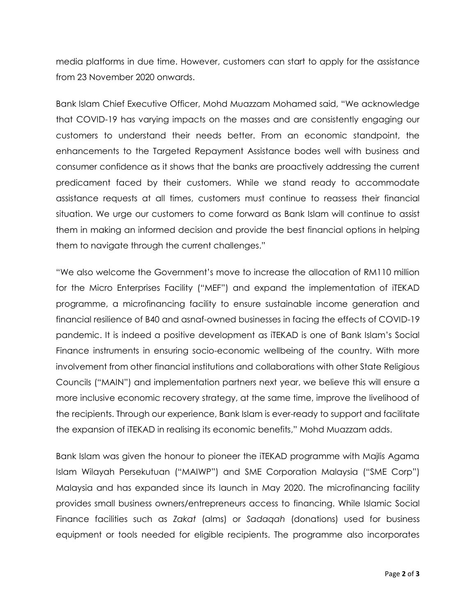media platforms in due time. However, customers can start to apply for the assistance from 23 November 2020 onwards.

Bank Islam Chief Executive Officer, Mohd Muazzam Mohamed said, "We acknowledge that COVID-19 has varying impacts on the masses and are consistently engaging our customers to understand their needs better. From an economic standpoint, the enhancements to the Targeted Repayment Assistance bodes well with business and consumer confidence as it shows that the banks are proactively addressing the current predicament faced by their customers. While we stand ready to accommodate assistance requests at all times, customers must continue to reassess their financial situation. We urge our customers to come forward as Bank Islam will continue to assist them in making an informed decision and provide the best financial options in helping them to navigate through the current challenges."

"We also welcome the Government's move to increase the allocation of RM110 million for the Micro Enterprises Facility ("MEF") and expand the implementation of iTEKAD programme, a microfinancing facility to ensure sustainable income generation and financial resilience of B40 and asnaf-owned businesses in facing the effects of COVID-19 pandemic. It is indeed a positive development as iTEKAD is one of Bank Islam's Social Finance instruments in ensuring socio-economic wellbeing of the country. With more involvement from other financial institutions and collaborations with other State Religious Councils ("MAIN") and implementation partners next year, we believe this will ensure a more inclusive economic recovery strategy, at the same time, improve the livelihood of the recipients. Through our experience, Bank Islam is ever-ready to support and facilitate the expansion of iTEKAD in realising its economic benefits," Mohd Muazzam adds.

Bank Islam was given the honour to pioneer the iTEKAD programme with Majlis Agama Islam Wilayah Persekutuan ("MAIWP") and SME Corporation Malaysia ("SME Corp") Malaysia and has expanded since its launch in May 2020. The microfinancing facility provides small business owners/entrepreneurs access to financing. While Islamic Social Finance facilities such as *Zakat* (alms) or *Sadaqah* (donations) used for business equipment or tools needed for eligible recipients. The programme also incorporates